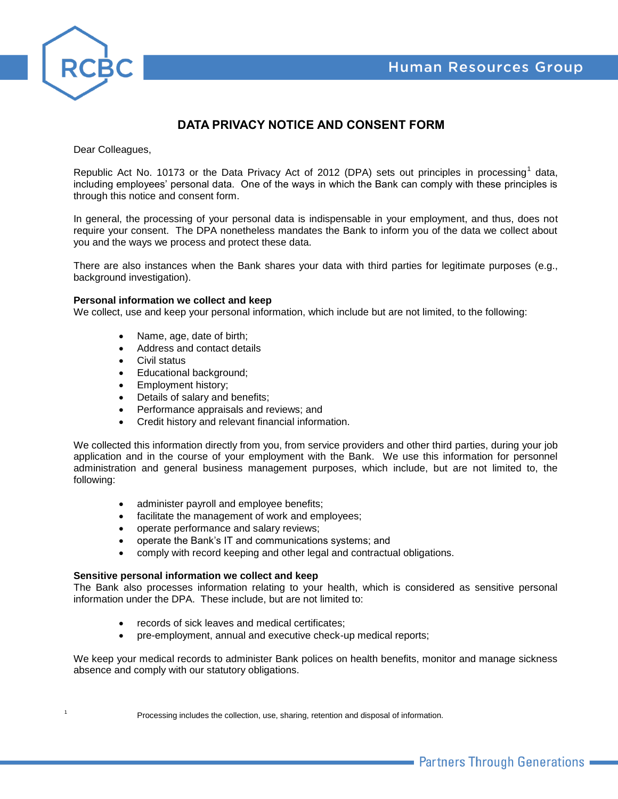

# **DATA PRIVACY NOTICE AND CONSENT FORM**

Dear Colleagues,

Republic Act No. 10173 or the Data Privacy Act of 2012 (DPA) sets out principles in processing<sup>1</sup> data, including employees' personal data. One of the ways in which the Bank can comply with these principles is through this notice and consent form.

In general, the processing of your personal data is indispensable in your employment, and thus, does not require your consent. The DPA nonetheless mandates the Bank to inform you of the data we collect about you and the ways we process and protect these data.

There are also instances when the Bank shares your data with third parties for legitimate purposes (e.g., background investigation).

#### **Personal information we collect and keep**

We collect, use and keep your personal information, which include but are not limited, to the following:

- Name, age, date of birth;
- Address and contact details
- Civil status
- Educational background;
- **Employment history;**
- Details of salary and benefits;
- Performance appraisals and reviews; and
- Credit history and relevant financial information.

We collected this information directly from you, from service providers and other third parties, during your job application and in the course of your employment with the Bank. We use this information for personnel administration and general business management purposes, which include, but are not limited to, the following:

- administer payroll and employee benefits;
- facilitate the management of work and employees;
- operate performance and salary reviews;
- operate the Bank's IT and communications systems; and
- comply with record keeping and other legal and contractual obligations.

### **Sensitive personal information we collect and keep**

The Bank also processes information relating to your health, which is considered as sensitive personal information under the DPA. These include, but are not limited to:

- records of sick leaves and medical certificates;
- pre-employment, annual and executive check-up medical reports;

We keep your medical records to administer Bank polices on health benefits, monitor and manage sickness absence and comply with our statutory obligations.

Processing includes the collection, use, sharing, retention and disposal of information.